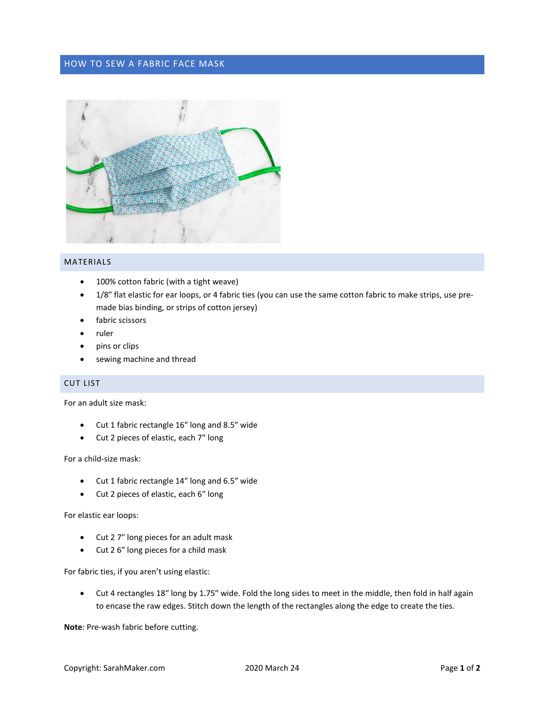## HOW TO SEW A FABRIC FACE MASK



### MATERIALS

- 100% cotton fabric (with a tight weave)
- 1/8" flat elastic for ear loops, or 4 fabric ties (you can use the same cotton fabric to make strips, use premade bias binding, or strips of cotton jersey)
- fabric scissors
- ruler
- pins or clips
- sewing machine and thread

# CUT LIST

For an adult size mask:

- Cut 1 fabric rectangle 16″ long and 8.5″ wide
- Cut 2 pieces of elastic, each 7″ long

For a child-size mask:

- Cut 1 fabric rectangle 14″ long and 6.5″ wide
- Cut 2 pieces of elastic, each 6″ long

For elastic ear loops:

- Cut 2 7″ long pieces for an adult mask
- Cut 2 6″ long pieces for a child mask

For fabric ties, if you aren't using elastic:

• Cut 4 rectangles 18″ long by 1.75″ wide. Fold the long sides to meet in the middle, then fold in half again to encase the raw edges. Stitch down the length of the rectangles along the edge to create the ties.

**Note**: Pre-wash fabric before cutting.